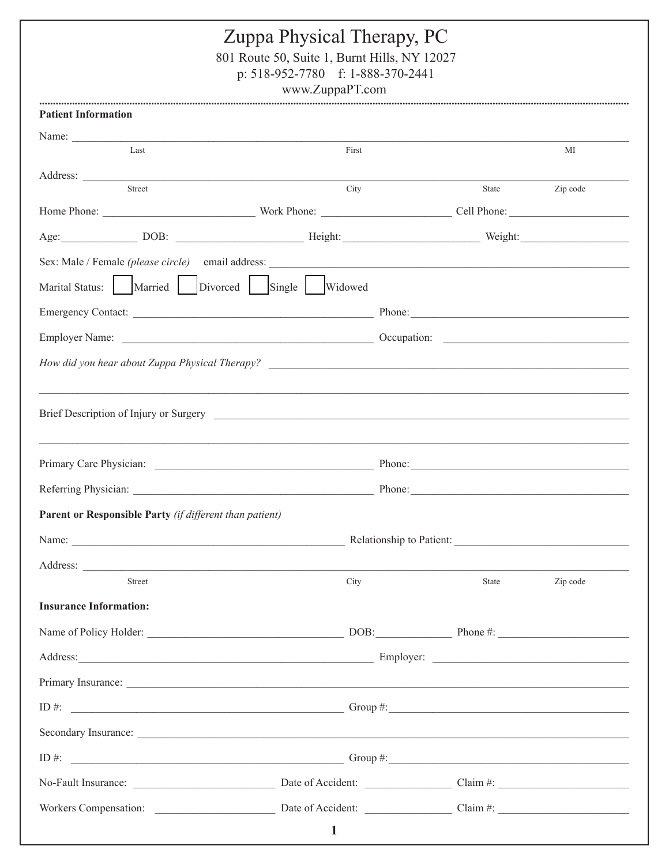| Zuppa Physical Therapy, PC<br>801 Route 50, Suite 1, Burnt Hills, NY 12027<br>p: 518-952-7780 f: 1-888-370-2441<br>www.ZuppaPT.com                                           |        |        |          |  |
|------------------------------------------------------------------------------------------------------------------------------------------------------------------------------|--------|--------|----------|--|
| <b>Patient Information</b>                                                                                                                                                   |        |        |          |  |
| Name: $\frac{1}{\sqrt{1-\frac{1}{2}}}\left\vert \frac{1}{\sqrt{1-\frac{1}{2}}}\right\vert$<br>Last                                                                           | First  |        | МI       |  |
|                                                                                                                                                                              |        |        |          |  |
| Street                                                                                                                                                                       | City   | State  | Zip code |  |
|                                                                                                                                                                              |        |        |          |  |
|                                                                                                                                                                              |        |        |          |  |
|                                                                                                                                                                              |        |        |          |  |
| Marital Status: Married Divorced Single Widowed                                                                                                                              |        |        |          |  |
|                                                                                                                                                                              |        |        |          |  |
|                                                                                                                                                                              |        |        |          |  |
|                                                                                                                                                                              |        |        |          |  |
|                                                                                                                                                                              |        |        |          |  |
|                                                                                                                                                                              |        |        |          |  |
|                                                                                                                                                                              |        | Phone: |          |  |
|                                                                                                                                                                              | Phone: |        |          |  |
|                                                                                                                                                                              |        |        |          |  |
|                                                                                                                                                                              |        |        |          |  |
|                                                                                                                                                                              |        |        |          |  |
| <b>Street</b>                                                                                                                                                                | City   | State  | Zip code |  |
|                                                                                                                                                                              |        |        |          |  |
|                                                                                                                                                                              |        |        |          |  |
| Referring Physician:<br>Parent or Responsible Party (if different than patient)<br>Address:<br><b>Insurance Information:</b><br>Address: Employer: Employer: Employer: 2008. |        |        |          |  |

| ID #:                 | Group $#$ :       |          |
|-----------------------|-------------------|----------|
| Secondary Insurance:  |                   |          |
| ID #:                 | Group $\#$ :      |          |
| No-Fault Insurance:   | Date of Accident: | Claim #: |
| Workers Compensation: | Date of Accident: | Claim #: |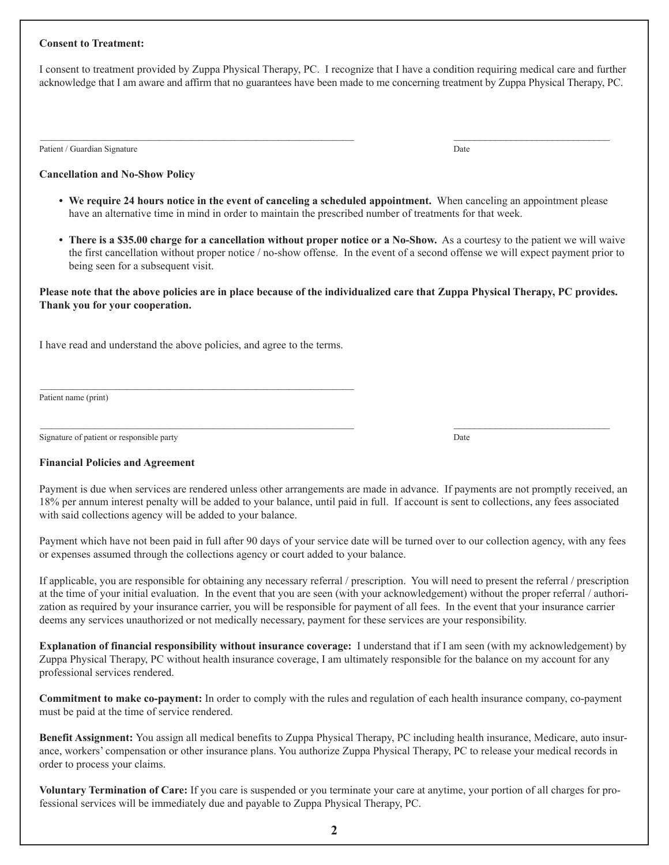#### **Consent to Treatment:**

I consent to treatment provided by Zuppa Physical Therapy, PC. I recognize that I have a condition requiring medical care and further acknowledge that I am aware and affirm that no guarantees have been made to me concerning treatment by Zuppa Physical Therapy, PC.

 $\mathcal{L}_\mathcal{L} = \mathcal{L}_\mathcal{L} = \mathcal{L}_\mathcal{L} = \mathcal{L}_\mathcal{L} = \mathcal{L}_\mathcal{L} = \mathcal{L}_\mathcal{L} = \mathcal{L}_\mathcal{L} = \mathcal{L}_\mathcal{L} = \mathcal{L}_\mathcal{L} = \mathcal{L}_\mathcal{L} = \mathcal{L}_\mathcal{L} = \mathcal{L}_\mathcal{L} = \mathcal{L}_\mathcal{L} = \mathcal{L}_\mathcal{L} = \mathcal{L}_\mathcal{L} = \mathcal{L}_\mathcal{L} = \mathcal{L}_\mathcal{L}$ 

Patient / Guardian Signature Date **Date of the Contract Occupance Date of the Contract Occupance Date of the Contract Occupance Date of the Contract Occupance Date of the Contract Occupance Date of the Contract Occupance D** 

#### **Cancellation and No-Show Policy**

- **We require 24 hours notice in the event of canceling a scheduled appointment.** When canceling an appointment please have an alternative time in mind in order to maintain the prescribed number of treatments for that week.
- **There is a \$35.00 charge for a cancellation without proper notice or a No-Show.** As a courtesy to the patient we will waive the first cancellation without proper notice / no-show offense. In the event of a second offense we will expect payment prior to being seen for a subsequent visit.

#### **Please note that the above policies are in place because of the individualized care that Zuppa Physical Therapy, PC provides. Thank you for your cooperation.**

I have read and understand the above policies, and agree to the terms.

\_\_\_\_\_\_\_\_\_\_\_\_\_\_\_\_\_\_\_\_\_\_\_\_\_\_\_\_\_\_\_\_\_\_\_\_\_\_\_\_\_\_\_\_\_\_\_\_\_\_\_\_\_\_\_\_\_\_

Patient name (print)

Signature of patient or responsible party Date

#### **Financial Policies and Agreement**

Payment is due when services are rendered unless other arrangements are made in advance. If payments are not promptly received, an 18% per annum interest penalty will be added to your balance, until paid in full. If account is sent to collections, any fees associated with said collections agency will be added to your balance.

 $\mathcal{L}_\mathcal{L} = \mathcal{L}_\mathcal{L} = \mathcal{L}_\mathcal{L} = \mathcal{L}_\mathcal{L} = \mathcal{L}_\mathcal{L} = \mathcal{L}_\mathcal{L} = \mathcal{L}_\mathcal{L} = \mathcal{L}_\mathcal{L} = \mathcal{L}_\mathcal{L} = \mathcal{L}_\mathcal{L} = \mathcal{L}_\mathcal{L} = \mathcal{L}_\mathcal{L} = \mathcal{L}_\mathcal{L} = \mathcal{L}_\mathcal{L} = \mathcal{L}_\mathcal{L} = \mathcal{L}_\mathcal{L} = \mathcal{L}_\mathcal{L}$ 

Payment which have not been paid in full after 90 days of your service date will be turned over to our collection agency, with any fees or expenses assumed through the collections agency or court added to your balance.

If applicable, you are responsible for obtaining any necessary referral / prescription. You will need to present the referral / prescription at the time of your initial evaluation. In the event that you are seen (with your acknowledgement) without the proper referral / authorization as required by your insurance carrier, you will be responsible for payment of all fees. In the event that your insurance carrier deems any services unauthorized or not medically necessary, payment for these services are your responsibility.

**Explanation of financial responsibility without insurance coverage:** I understand that if I am seen (with my acknowledgement) by Zuppa Physical Therapy, PC without health insurance coverage, I am ultimately responsible for the balance on my account for any professional services rendered.

**Commitment to make co-payment:** In order to comply with the rules and regulation of each health insurance company, co-payment must be paid at the time of service rendered.

**Benefit Assignment:** You assign all medical benefits to Zuppa Physical Therapy, PC including health insurance, Medicare, auto insurance, workers' compensation or other insurance plans. You authorize Zuppa Physical Therapy, PC to release your medical records in order to process your claims.

**Voluntary Termination of Care:** If you care is suspended or you terminate your care at anytime, your portion of all charges for professional services will be immediately due and payable to Zuppa Physical Therapy, PC.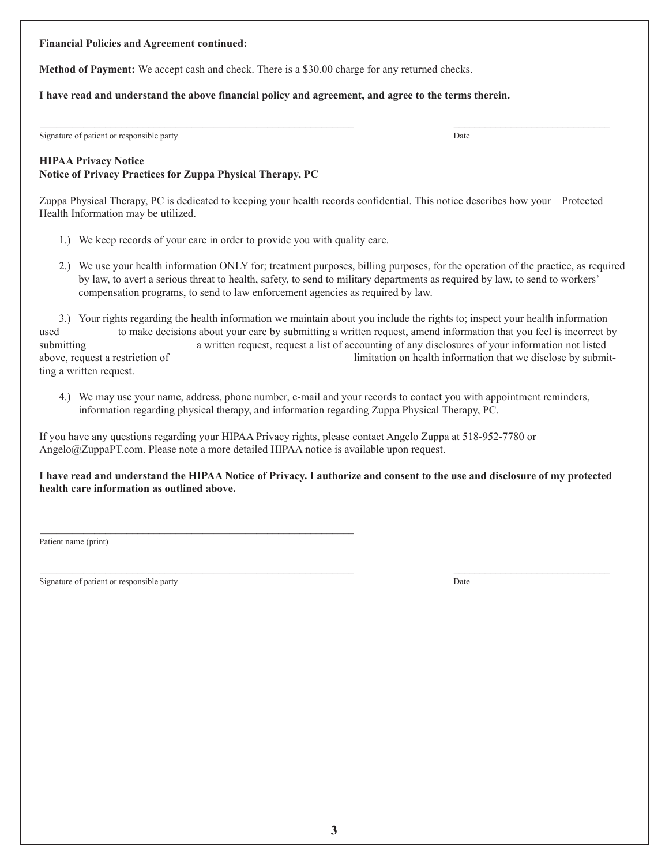#### **Financial Policies and Agreement continued:**

**Method of Payment:** We accept cash and check. There is a \$30.00 charge for any returned checks.

### **I have read and understand the above financial policy and agreement, and agree to the terms therein.**

Signature of patient or responsible party Date

# **HIPAA Privacy Notice Notice of Privacy Practices for Zuppa Physical Therapy, PC**

Zuppa Physical Therapy, PC is dedicated to keeping your health records confidential. This notice describes how your Protected Health Information may be utilized.

 $\mathcal{L}_\mathcal{L} = \mathcal{L}_\mathcal{L} = \mathcal{L}_\mathcal{L} = \mathcal{L}_\mathcal{L} = \mathcal{L}_\mathcal{L} = \mathcal{L}_\mathcal{L} = \mathcal{L}_\mathcal{L} = \mathcal{L}_\mathcal{L} = \mathcal{L}_\mathcal{L} = \mathcal{L}_\mathcal{L} = \mathcal{L}_\mathcal{L} = \mathcal{L}_\mathcal{L} = \mathcal{L}_\mathcal{L} = \mathcal{L}_\mathcal{L} = \mathcal{L}_\mathcal{L} = \mathcal{L}_\mathcal{L} = \mathcal{L}_\mathcal{L}$ 

1.) We keep records of your care in order to provide you with quality care.

\_\_\_\_\_\_\_\_\_\_\_\_\_\_\_\_\_\_\_\_\_\_\_\_\_\_\_\_\_\_\_\_\_\_\_\_\_\_\_\_\_\_\_\_\_\_\_\_\_\_\_\_\_\_\_\_\_\_

2.) We use your health information ONLY for; treatment purposes, billing purposes, for the operation of the practice, as required by law, to avert a serious threat to health, safety, to send to military departments as required by law, to send to workers' compensation programs, to send to law enforcement agencies as required by law.

3.) Your rights regarding the health information we maintain about you include the rights to; inspect your health information used to make decisions about your care by submitting a written request, amend information that you feel is incorrect by submitting a written request, request a list of accounting of any disclosures of your information not listed above, request a restriction of limitation on health information that we disclose by submitting a written request.

4.) We may use your name, address, phone number, e-mail and your records to contact you with appointment reminders, information regarding physical therapy, and information regarding Zuppa Physical Therapy, PC.

If you have any questions regarding your HIPAA Privacy rights, please contact Angelo Zuppa at 518-952-7780 or Angelo@ZuppaPT.com. Please note a more detailed HIPAA notice is available upon request.

### **I have read and understand the HIPAA Notice of Privacy. I authorize and consent to the use and disclosure of my protected health care information as outlined above.**

 $\mathcal{L}_\mathcal{L} = \mathcal{L}_\mathcal{L} = \mathcal{L}_\mathcal{L} = \mathcal{L}_\mathcal{L} = \mathcal{L}_\mathcal{L} = \mathcal{L}_\mathcal{L} = \mathcal{L}_\mathcal{L} = \mathcal{L}_\mathcal{L} = \mathcal{L}_\mathcal{L} = \mathcal{L}_\mathcal{L} = \mathcal{L}_\mathcal{L} = \mathcal{L}_\mathcal{L} = \mathcal{L}_\mathcal{L} = \mathcal{L}_\mathcal{L} = \mathcal{L}_\mathcal{L} = \mathcal{L}_\mathcal{L} = \mathcal{L}_\mathcal{L}$ 

Patient name (print)

Signature of patient or responsible party Date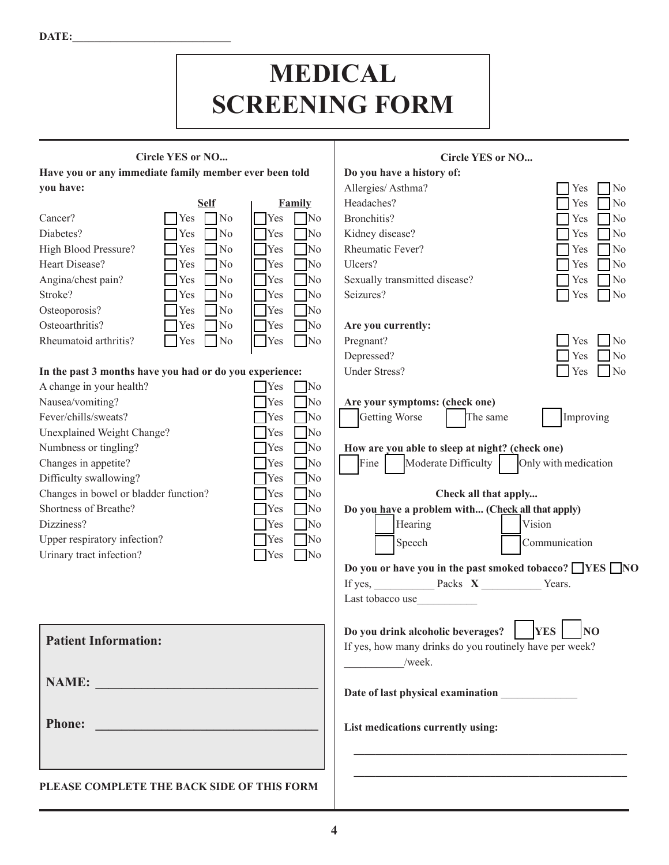DATE:

# **MEDICAL SCREENING FORM**

# **Circle YES or NO...**

**Have you or any immediate family member ever been told you have:**

|                       | <b>Self</b>                                 | Family                                  |
|-----------------------|---------------------------------------------|-----------------------------------------|
| Cancer?               | No<br>  Yes                                 | <b>Yes</b><br>$\mathbb{N}^{\text{o}}$   |
| Diabetes?             | N <sub>o</sub><br><b>T</b> Yes              | <b>No</b><br><b>T</b> Yes               |
| High Blood Pressure?  | <b>T</b> Yes<br>N <sub>0</sub>              | <b>No</b><br>$\mathcal{T}_{\text{Yes}}$ |
| Heart Disease?        | $\overline{\phantom{1}}$ No<br><b>T</b> Yes | $\Box$ No<br>$\bigcap$ Yes              |
| Angina/chest pain?    | <b>Yes</b><br>$\Box$ No                     | <b>No</b><br>$\bigcap$ Yes              |
| Stroke?               | N <sub>o</sub><br>Yes                       | <b>No</b><br>$\bigcap$ Yes              |
| Osteoporosis?         | <b>T</b> Yes<br>N <sub>o</sub>              | <b>No</b><br><b>Yes</b>                 |
| Osteoarthritis?       | <b>Yes</b><br><b>No</b>                     | <b>T</b> Yes<br>No]                     |
| Rheumatoid arthritis? | Yes<br>No                                   | No<br><b>Yes</b>                        |

# **In the past 3 months have you had or do you experience:**

| A change in your health?              | <b>Yes</b> | No                      |
|---------------------------------------|------------|-------------------------|
| Nausea/vomiting?                      | <b>Yes</b> | No                      |
| Fever/chills/sweats?                  | <b>Yes</b> | $\mathbb{N}^{\text{o}}$ |
| Unexplained Weight Change?            | Yes        | No]                     |
| Numbness or tingling?                 | Yes        | No]                     |
| Changes in appetite?                  | <b>Yes</b> | No                      |
| Difficulty swallowing?                | <b>Yes</b> | No]                     |
| Changes in bowel or bladder function? | <b>Yes</b> | No]                     |
| Shortness of Breathe?                 | <b>Yes</b> | <b>No</b>               |
| Dizziness?                            | <b>Yes</b> | N <sub>0</sub>          |
| Upper respiratory infection?          | <b>Yes</b> | No                      |
| Urinary tract infection?              | <b>Yes</b> | No                      |
|                                       |            |                         |

# **Circle YES or NO... Do you have a history of:** Allergies/ Asthma? Yes No Headaches? Yes No Bronchitis?  $\Box$  Yes  $\Box$  No Kidney disease? The No Service of the No Service of No Rheumatic Fever?  $\Box$  Yes  $\Box$  No Ulcers? Yes No Sexually transmitted disease?  $\Box$  Yes  $\Box$  No Seizures? Yes No **Are you currently:** Pregnant? Yes No Depressed?  $\Box$  Yes  $\Box$  No Under Stress? Yes No **Are your symptoms: (check one)** Getting Worse **CE** The same **of The Improving How are you able to sleep at night? (check one)** Fine  $\blacksquare$  Moderate Difficulty  $\blacksquare$  Only with medication **Check all that apply... Do you have a problem with... (Check all that apply)** Hearing Speech Vision Communication **Do you or have you in the past smoked tobacco? YES** NO

If yes, Packs **X** Years.

Last tobacco use

| <b>Patient Information:</b>                | Do you drink alcoholic beverages?<br><b>YES</b><br>N <sub>O</sub><br>If yes, how many drinks do you routinely have per week? |
|--------------------------------------------|------------------------------------------------------------------------------------------------------------------------------|
| <b>NAME:</b>                               | /week.<br>Date of last physical examination                                                                                  |
| <b>Phone:</b>                              | List medications currently using:                                                                                            |
| PLEASE COMPLETE THE BACK SIDE OF THIS FORM |                                                                                                                              |